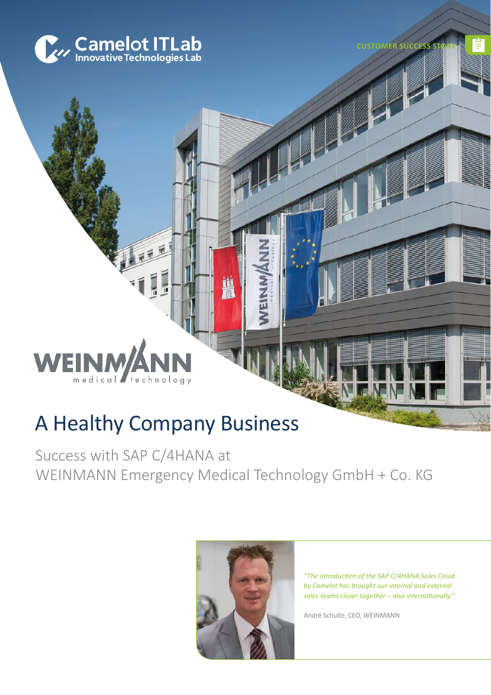

**SUCCESS** 

#### **WE** medical technolo

# A Healthy Company Business

Success with SAP C/4HANA at WEINMANN Emergency Medical Technology GmbH + Co. KG

H



*"The introduction of the SAP C/4HANA Sales Cloud by Camelot has brought our internal and external sales teams closer together – also internationally."*

André Schulte, CEO, WEINMANN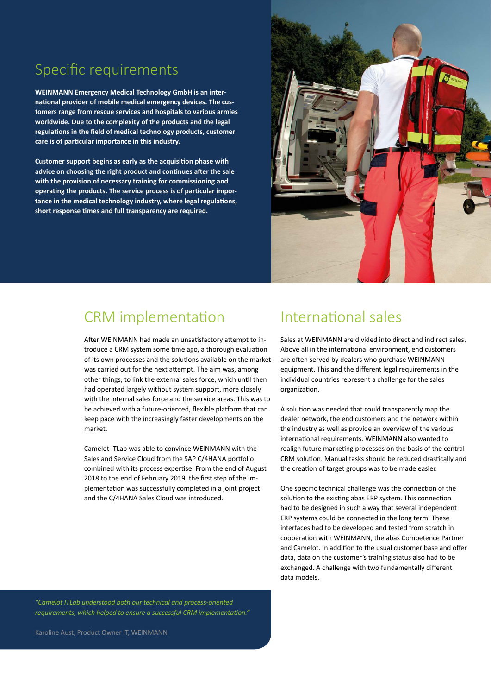# Specific requirements

**WEINMANN Emergency Medical Technology GmbH is an international provider of mobile medical emergency devices. The customers range from rescue services and hospitals to various armies worldwide. Due to the complexity of the products and the legal regulations in the field of medical technology products, customer care is of particular importance in this industry.**

**Customer support begins as early as the acquisition phase with advice on choosing the right product and continues after the sale with the provision of necessary training for commissioning and operating the products. The service process is of particular importance in the medical technology industry, where legal regulations, short response times and full transparency are required.**



### CRM implementation

After WEINMANN had made an unsatisfactory attempt to introduce a CRM system some time ago, a thorough evaluation of its own processes and the solutions available on the market was carried out for the next attempt. The aim was, among other things, to link the external sales force, which until then had operated largely without system support, more closely with the internal sales force and the service areas. This was to be achieved with a future-oriented, flexible platform that can keep pace with the increasingly faster developments on the market.

Camelot ITLab was able to convince WEINMANN with the Sales and Service Cloud from the SAP C/4HANA portfolio combined with its process expertise. From the end of August 2018 to the end of February 2019, the first step of the implementation was successfully completed in a joint project and the C/4HANA Sales Cloud was introduced.

### International sales

Sales at WEINMANN are divided into direct and indirect sales. Above all in the international environment, end customers are often served by dealers who purchase WEINMANN equipment. This and the different legal requirements in the individual countries represent a challenge for the sales organization.

A solution was needed that could transparently map the dealer network, the end customers and the network within the industry as well as provide an overview of the various international requirements. WEINMANN also wanted to realign future marketing processes on the basis of the central CRM solution. Manual tasks should be reduced drastically and the creation of target groups was to be made easier.

One specific technical challenge was the connection of the solution to the existing abas ERP system. This connection had to be designed in such a way that several independent ERP systems could be connected in the long term. These interfaces had to be developed and tested from scratch in cooperation with WEINMANN, the abas Competence Partner and Camelot. In addition to the usual customer base and offer data, data on the customer's training status also had to be exchanged. A challenge with two fundamentally different data models.

*"Camelot ITLab understood both our technical and process-oriented requirements, which helped to ensure a successful CRM implementation."*

Karoline Aust, Product Owner IT, WEINMANN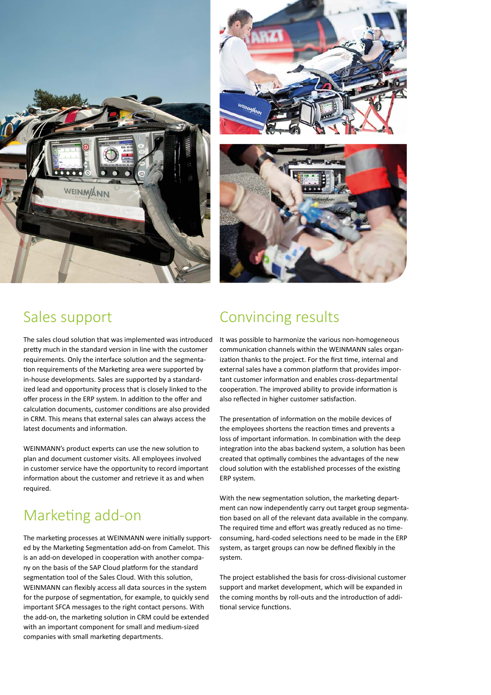



### Sales support

The sales cloud solution that was implemented was introduced pretty much in the standard version in line with the customer requirements. Only the interface solution and the segmentation requirements of the Marketing area were supported by in-house developments. Sales are supported by a standardized lead and opportunity process that is closely linked to the offer process in the ERP system. In addition to the offer and calculation documents, customer conditions are also provided in CRM. This means that external sales can always access the latest documents and information.

WEINMANN's product experts can use the new solution to plan and document customer visits. All employees involved in customer service have the opportunity to record important information about the customer and retrieve it as and when required.

# Marketing add-on

The marketing processes at WEINMANN were initially supported by the Marketing Segmentation add-on from Camelot. This is an add-on developed in cooperation with another company on the basis of the SAP Cloud platform for the standard segmentation tool of the Sales Cloud. With this solution, WEINMANN can flexibly access all data sources in the system for the purpose of segmentation, for example, to quickly send important SFCA messages to the right contact persons. With the add-on, the marketing solution in CRM could be extended with an important component for small and medium-sized companies with small marketing departments.

# Convincing results

It was possible to harmonize the various non-homogeneous communication channels within the WEINMANN sales organization thanks to the project. For the first time, internal and external sales have a common platform that provides important customer information and enables cross-departmental cooperation. The improved ability to provide information is also reflected in higher customer satisfaction.

The presentation of information on the mobile devices of the employees shortens the reaction times and prevents a loss of important information. In combination with the deep integration into the abas backend system, a solution has been created that optimally combines the advantages of the new cloud solution with the established processes of the existing ERP system.

With the new segmentation solution, the marketing department can now independently carry out target group segmentation based on all of the relevant data available in the company. The required time and effort was greatly reduced as no timeconsuming, hard-coded selections need to be made in the ERP system, as target groups can now be defined flexibly in the system.

The project established the basis for cross-divisional customer support and market development, which will be expanded in the coming months by roll-outs and the introduction of additional service functions.